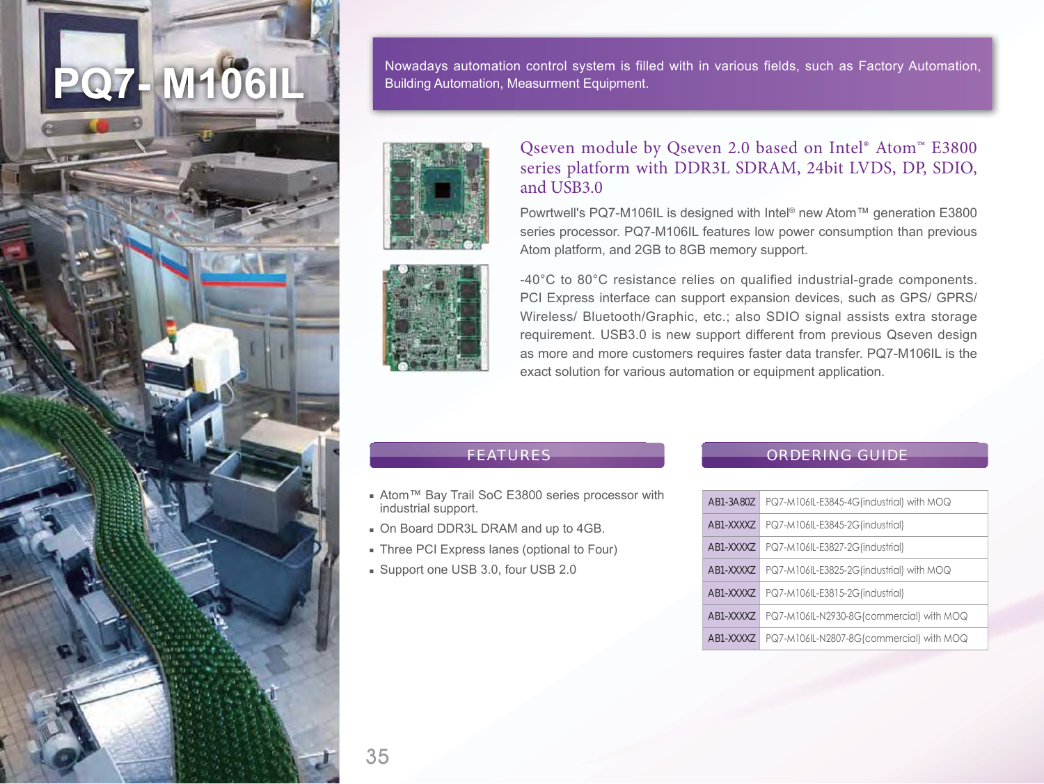

Nowadays automation control system is filled with in various fields, such as Factory Automation, **Building Automation, Measurment Equipment.** 





## Qseven module by Qseven 2.0 based on Intel® Atom™ E3800 series platform with DDR3L SDRAM, 24bit LVDS, DP, SDIO, and USB3.0

Powrtwell's PQ7-M106IL is designed with Intel® new Atom™ generation E3800 series processor, PQ7-M106IL features low power consumption than previous Atom platform, and 2GB to 8GB memory support.

-40°C to 80°C resistance relies on qualified industrial-grade components. PCI Express interface can support expansion devices, such as GPS/ GPRS/ Wireless/ Bluetooth/Graphic, etc.; also SDIO signal assists extra storage requirement. USB3.0 is new support different from previous Qseven design as more and more customers requires faster data transfer. PQ7-M106IL is the exact solution for various automation or equipment application.

## **FEATURES**

- Atom<sup>™</sup> Bay Trail SoC E3800 series processor with industrial support.
- On Board DDR3L DRAM and up to 4GB.
- Three PCI Express lanes (optional to Four)
- Support one USB 3.0, four USB 2.0

## ORDERING GUIDE

| AB1-3A80Z | PQ7-M106IL-E3845-4G(industrial) with MOQ |
|-----------|------------------------------------------|
| AB1-XXXXZ | PQ7-M106IL-E3845-2G(industrial)          |
| AB1-XXXXZ | PQ7-M106IL-E3827-2G(industrial)          |
| AB1-XXXXZ | PQ7-M106IL-E3825-2G(industrial) with MOQ |
| AB1-XXXXZ | PQ7-M106IL-E3815-2G(industrial)          |
| AB1-XXXXZ | PQ7-M106IL-N2930-8G(commercial) with MOQ |
| AB1-XXXXZ | PQ7-M106IL-N2807-8G(commercial) with MOQ |